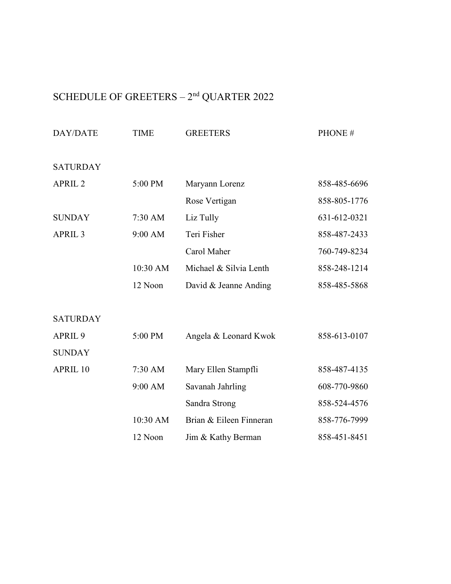# SCHEDULE OF GREETERS  $2^{\rm nd}$  QUARTER 2022

| <b>DAY/DATE</b>    | <b>TIME</b> | <b>GREETERS</b>         | PHONE#       |
|--------------------|-------------|-------------------------|--------------|
| <b>SATURDAY</b>    |             |                         |              |
| APRIL <sub>2</sub> | 5:00 PM     | Maryann Lorenz          | 858-485-6696 |
|                    |             | Rose Vertigan           | 858-805-1776 |
| <b>SUNDAY</b>      | $7:30$ AM   | Liz Tully               | 631-612-0321 |
| APRIL <sub>3</sub> | 9:00 AM     | Teri Fisher             | 858-487-2433 |
|                    |             | Carol Maher             | 760-749-8234 |
|                    | 10:30 AM    | Michael & Silvia Lenth  | 858-248-1214 |
|                    | 12 Noon     | David & Jeanne Anding   | 858-485-5868 |
|                    |             |                         |              |
| <b>SATURDAY</b>    |             |                         |              |
| APRIL <sub>9</sub> | 5:00 PM     | Angela & Leonard Kwok   | 858-613-0107 |
| <b>SUNDAY</b>      |             |                         |              |
| APRIL 10           | 7:30 AM     | Mary Ellen Stampfli     | 858-487-4135 |
|                    | 9:00 AM     | Savanah Jahrling        | 608-770-9860 |
|                    |             | Sandra Strong           | 858-524-4576 |
|                    | 10:30 AM    | Brian & Eileen Finneran | 858-776-7999 |
|                    | 12 Noon     | Jim & Kathy Berman      | 858-451-8451 |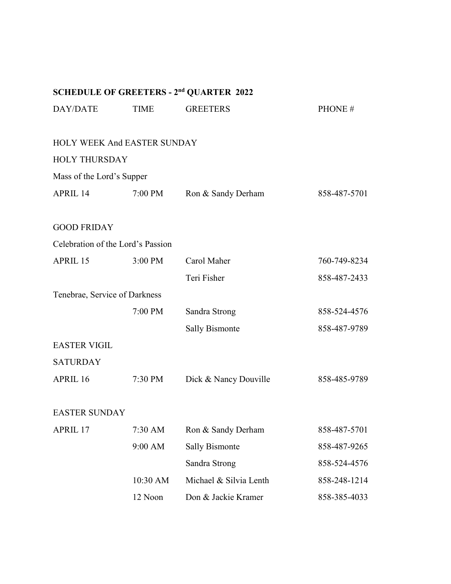# **SCHEDULE OF GREETERS - 2nd QUARTER 2022** DAY/DATE TIME GREETERS PHONE # HOLY WEEK And EASTER SUNDAY HOLY THURSDAY Mass of the Lord's Supper APRIL 14 7:00 PM Ron & Sandy Derham 858-487-5701 GOOD FRIDAY Celebration of the Lord's Passion APRIL 15 3:00 PM Carol Maher 760-749-8234 Teri Fisher 858-487-2433 Tenebrae, Service of Darkness 7:00 PM Sandra Strong 858-524-4576 Sally Bismonte 858-487-9789 EASTER VIGIL **SATURDAY** APRIL 16 7:30 PM Dick & Nancy Douville 858-485-9789 EASTER SUNDAY APRIL 17 7:30 AM Ron & Sandy Derham 858-487-5701 9:00 AM Sally Bismonte 858-487-9265 Sandra Strong 858-524-4576 10:30 AM Michael & Silvia Lenth 858-248-1214 12 Noon Don & Jackie Kramer 858-385-4033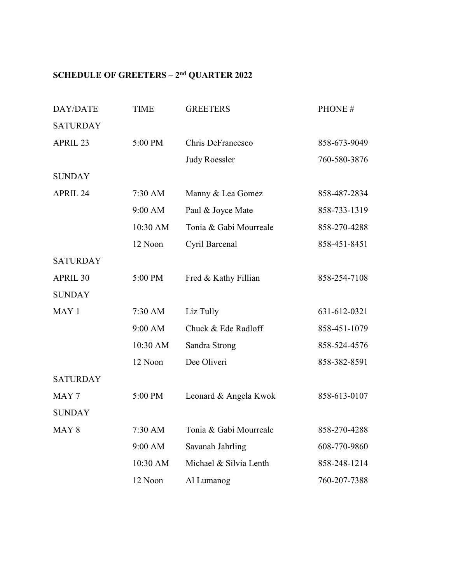| DAY/DATE         | <b>TIME</b> | <b>GREETERS</b>        | PHONE#       |
|------------------|-------------|------------------------|--------------|
| <b>SATURDAY</b>  |             |                        |              |
| APRIL 23         | 5:00 PM     | Chris DeFrancesco      | 858-673-9049 |
|                  |             | <b>Judy Roessler</b>   | 760-580-3876 |
| <b>SUNDAY</b>    |             |                        |              |
| APRIL 24         | 7:30 AM     | Manny & Lea Gomez      | 858-487-2834 |
|                  | 9:00 AM     | Paul & Joyce Mate      | 858-733-1319 |
|                  | 10:30 AM    | Tonia & Gabi Mourreale | 858-270-4288 |
|                  | 12 Noon     | Cyril Barcenal         | 858-451-8451 |
| <b>SATURDAY</b>  |             |                        |              |
| APRIL 30         | 5:00 PM     | Fred & Kathy Fillian   | 858-254-7108 |
| <b>SUNDAY</b>    |             |                        |              |
| MAY 1            | 7:30 AM     | Liz Tully              | 631-612-0321 |
|                  | 9:00 AM     | Chuck & Ede Radloff    | 858-451-1079 |
|                  | 10:30 AM    | Sandra Strong          | 858-524-4576 |
|                  | 12 Noon     | Dee Oliveri            | 858-382-8591 |
| <b>SATURDAY</b>  |             |                        |              |
| MAY <sub>7</sub> | 5:00 PM     | Leonard & Angela Kwok  | 858-613-0107 |
| <b>SUNDAY</b>    |             |                        |              |
| MAY <sub>8</sub> | 7:30 AM     | Tonia & Gabi Mourreale | 858-270-4288 |
|                  | 9:00 AM     | Savanah Jahrling       | 608-770-9860 |
|                  | 10:30 AM    | Michael & Silvia Lenth | 858-248-1214 |
|                  | 12 Noon     | Al Lumanog             | 760-207-7388 |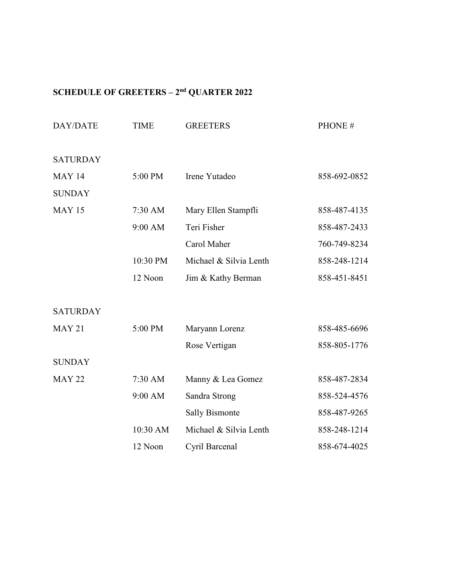| DAY/DATE        | <b>TIME</b> | <b>GREETERS</b>        | PHONE#       |
|-----------------|-------------|------------------------|--------------|
| <b>SATURDAY</b> |             |                        |              |
| <b>MAY 14</b>   | 5:00 PM     | Irene Yutadeo          | 858-692-0852 |
| <b>SUNDAY</b>   |             |                        |              |
| <b>MAY 15</b>   | 7:30 AM     | Mary Ellen Stampfli    | 858-487-4135 |
|                 | 9:00 AM     | Teri Fisher            | 858-487-2433 |
|                 |             | Carol Maher            | 760-749-8234 |
|                 | 10:30 PM    | Michael & Silvia Lenth | 858-248-1214 |
|                 | 12 Noon     | Jim & Kathy Berman     | 858-451-8451 |
|                 |             |                        |              |
| <b>SATURDAY</b> |             |                        |              |
| <b>MAY 21</b>   | 5:00 PM     | Maryann Lorenz         | 858-485-6696 |
|                 |             | Rose Vertigan          | 858-805-1776 |
| <b>SUNDAY</b>   |             |                        |              |
| <b>MAY 22</b>   | 7:30 AM     | Manny & Lea Gomez      | 858-487-2834 |
|                 | 9:00 AM     | Sandra Strong          | 858-524-4576 |
|                 |             | <b>Sally Bismonte</b>  | 858-487-9265 |
|                 | 10:30 AM    | Michael & Silvia Lenth | 858-248-1214 |
|                 | 12 Noon     | Cyril Barcenal         | 858-674-4025 |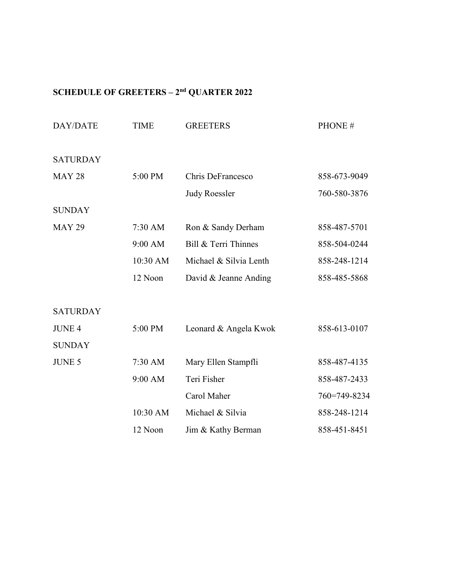| DAY/DATE        | <b>TIME</b> | <b>GREETERS</b>        | PHONE#       |
|-----------------|-------------|------------------------|--------------|
| <b>SATURDAY</b> |             |                        |              |
| <b>MAY 28</b>   | 5:00 PM     | Chris DeFrancesco      | 858-673-9049 |
|                 |             | <b>Judy Roessler</b>   | 760-580-3876 |
| <b>SUNDAY</b>   |             |                        |              |
| <b>MAY 29</b>   | 7:30 AM     | Ron & Sandy Derham     | 858-487-5701 |
|                 | 9:00 AM     | Bill & Terri Thinnes   | 858-504-0244 |
|                 | 10:30 AM    | Michael & Silvia Lenth | 858-248-1214 |
|                 | 12 Noon     | David & Jeanne Anding  | 858-485-5868 |
| <b>SATURDAY</b> |             |                        |              |
| <b>JUNE 4</b>   | 5:00 PM     | Leonard & Angela Kwok  | 858-613-0107 |
| <b>SUNDAY</b>   |             |                        |              |
| <b>JUNE 5</b>   | 7:30 AM     | Mary Ellen Stampfli    | 858-487-4135 |
|                 | 9:00 AM     | Teri Fisher            | 858-487-2433 |
|                 |             | Carol Maher            | 760=749-8234 |
|                 | 10:30 AM    | Michael & Silvia       | 858-248-1214 |
|                 | 12 Noon     | Jim & Kathy Berman     | 858-451-8451 |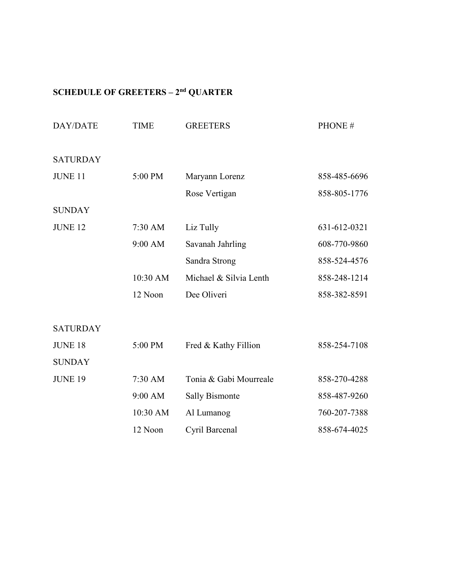| DAY/DATE        | <b>TIME</b> | <b>GREETERS</b>        | PHONE#       |
|-----------------|-------------|------------------------|--------------|
| <b>SATURDAY</b> |             |                        |              |
| <b>JUNE 11</b>  | 5:00 PM     | Maryann Lorenz         | 858-485-6696 |
|                 |             | Rose Vertigan          | 858-805-1776 |
| <b>SUNDAY</b>   |             |                        |              |
| <b>JUNE 12</b>  | 7:30 AM     | Liz Tully              | 631-612-0321 |
|                 | 9:00 AM     | Savanah Jahrling       | 608-770-9860 |
|                 |             | Sandra Strong          | 858-524-4576 |
|                 | 10:30 AM    | Michael & Silvia Lenth | 858-248-1214 |
|                 | 12 Noon     | Dee Oliveri            | 858-382-8591 |
| <b>SATURDAY</b> |             |                        |              |
| <b>JUNE 18</b>  | 5:00 PM     | Fred & Kathy Fillion   | 858-254-7108 |
| <b>SUNDAY</b>   |             |                        |              |
| <b>JUNE 19</b>  | 7:30 AM     | Tonia & Gabi Mourreale | 858-270-4288 |
|                 | 9:00 AM     | <b>Sally Bismonte</b>  | 858-487-9260 |
|                 | 10:30 AM    | Al Lumanog             | 760-207-7388 |
|                 | 12 Noon     | Cyril Barcenal         | 858-674-4025 |